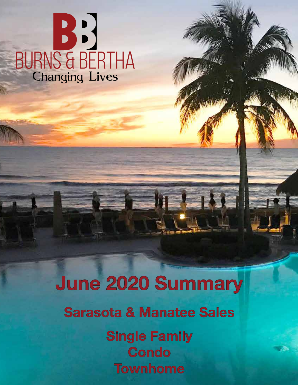# BURNS & BERTHA

### June 2020 Summary

**Sarasota & Manatee Sales** 

**Single Family Condo Townhome**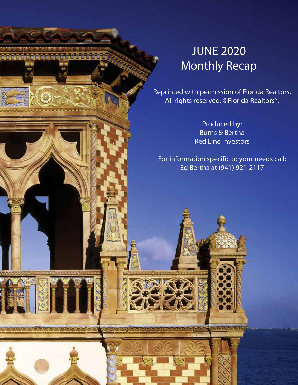#### JUNE 2020 Monthly Recap

Reprinted with permission of Florida Realtors. All rights reserved. ©Florida Realtors®.

> Produced by: Burns & Bertha Red Line Investors

For information specific to your needs call: Ed Bertha at (941) 921-2117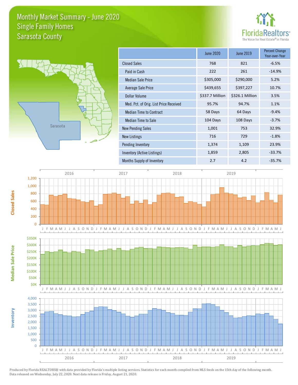#### Monthly Market Summary - June 2020 Sarasota County Single Family Homes





|                                        | <b>June 2020</b> | June 2019       | <b>Percent Change</b><br>Year-over-Year |
|----------------------------------------|------------------|-----------------|-----------------------------------------|
| <b>Closed Sales</b>                    | 768              | 821             | $-6.5%$                                 |
| Paid in Cash                           | 222              | 261             | $-14.9%$                                |
| <b>Median Sale Price</b>               | \$305,000        | \$290,000       | 5.2%                                    |
| Average Sale Price                     | \$439,655        | \$397,227       | 10.7%                                   |
| Dollar Volume                          | \$337.7 Million  | \$326.1 Million | 3.5%                                    |
| Med. Pct. of Orig. List Price Received | 95.7%            | 94.7%           | 1.1%                                    |
| <b>Median Time to Contract</b>         | 58 Days          | 64 Days         | $-9.4%$                                 |
| Median Time to Sale                    | 104 Days         | 108 Days        | $-3.7%$                                 |
| <b>New Pending Sales</b>               | 1,001            | 753             | 32.9%                                   |
| New Listings                           | 716              | 729             | $-1.8%$                                 |
| Pending Inventory                      | 1,374            | 1,109           | 23.9%                                   |
| Inventory (Active Listings)            | 1,859            | 2,805           | $-33.7%$                                |
| Months Supply of Inventory             | 2.7              | 4.2             | $-35.7%$                                |

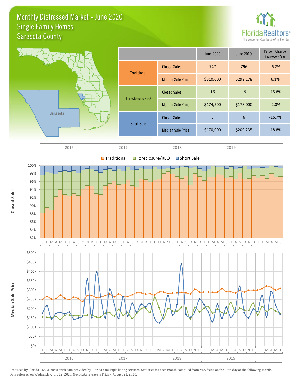#### Monthly Distressed Market - June 2020 Sarasota County Single Family Homes



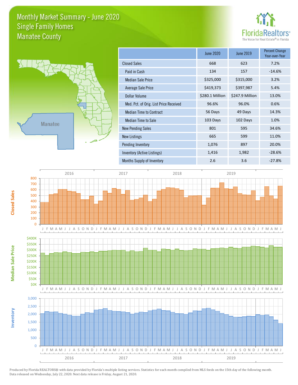#### Monthly Market Summary - June 2020 Manatee County Single Family Homes





|                                        | June 2020       | June 2019       | <b>Percent Change</b><br>Year-over-Year |
|----------------------------------------|-----------------|-----------------|-----------------------------------------|
| <b>Closed Sales</b>                    | 668             | 623             | 7.2%                                    |
| Paid in Cash                           | 134             | 157             | $-14.6%$                                |
| <b>Median Sale Price</b>               | \$325,000       | \$315,000       | 3.2%                                    |
| Average Sale Price                     | \$419,373       | \$397,987       | 5.4%                                    |
| Dollar Volume                          | \$280.1 Million | \$247.9 Million | 13.0%                                   |
| Med. Pct. of Orig. List Price Received | 96.6%           | 96.0%           | 0.6%                                    |
| <b>Median Time to Contract</b>         | 56 Days         | 49 Days         | 14.3%                                   |
| Median Time to Sale                    | 103 Days        | 102 Days        | 1.0%                                    |
| <b>New Pending Sales</b>               | 801             | 595             | 34.6%                                   |
| <b>New Listings</b>                    | 665             | 599             | 11.0%                                   |
| Pending Inventory                      | 1,076           | 897             | 20.0%                                   |
| Inventory (Active Listings)            | 1,416           | 1,982           | $-28.6%$                                |
| Months Supply of Inventory             | 2.6             | 3.6             | $-27.8%$                                |

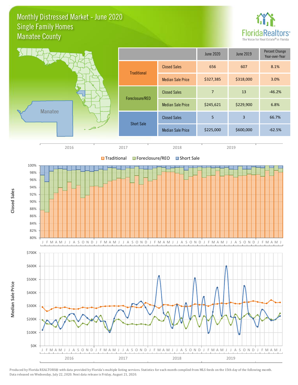#### Monthly Distressed Market - June 2020 Manatee County Single Family Homes

\$0K

\$100K

\$200K





Produced by Florida REALTORS® with data provided by Florida's multiple listing services. Statistics for each month compiled from MLS feeds on the 15th day of the following month. Data released on Wednesday, July 22, 2020. Next data release is Friday, August 21, 2020.

2016 2017 2018 2019

J F M A M J J A S O N D J F M A M J J A S O N D J F M A M J J A S O N D J F M A M J J A S O N D J F M A M J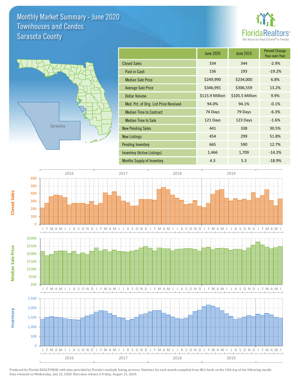#### Monthly Market Summary - June 2020 Sarasota County Townhouses and Condos





**Inventory**

**Median Sale Price**

**Median Sale Price** 

**Closed Sales**

|                                        | June 2020       | June 2019       | <b>Percent Change</b><br>Year-over-Year |
|----------------------------------------|-----------------|-----------------|-----------------------------------------|
| <b>Closed Sales</b>                    | 334             | 344             | $-2.9%$                                 |
| Paid in Cash                           | 156             | 193             | $-19.2%$                                |
| <b>Median Sale Price</b>               | \$249,990       | \$234,000       | 6.8%                                    |
| <b>Average Sale Price</b>              | \$346,991       | \$306,559       | 13.2%                                   |
| <b>Dollar Volume</b>                   | \$115.9 Million | \$105.5 Million | 9.9%                                    |
| Med. Pct. of Orig. List Price Received | 94.0%           | 94.1%           | $-0.1%$                                 |
| <b>Median Time to Contract</b>         | 74 Days         | 79 Days         | $-6.3%$                                 |
| <b>Median Time to Sale</b>             | 121 Days        | 123 Days        | $-1.6%$                                 |
| <b>New Pending Sales</b>               | 441             | 338             | 30.5%                                   |
| <b>New Listings</b>                    | 454             | 299             | 51.8%                                   |
| <b>Pending Inventory</b>               | 665             | 590             | 12.7%                                   |
| Inventory (Active Listings)            | 1,466           | 1,709           | $-14.2%$                                |
| <b>Months Supply of Inventory</b>      | 4.3             | 5.3             | $-18.9%$                                |

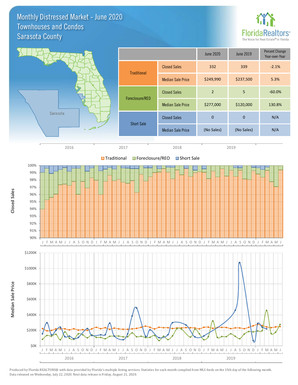Monthly Distressed Market - June 2020 Sarasota County Townhouses and Condos



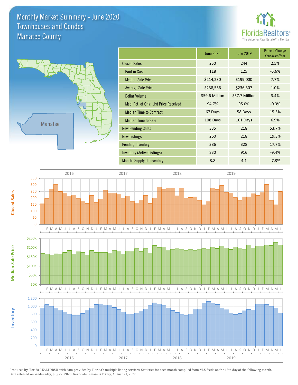#### Monthly Market Summary - June 2020 Manatee County Townhouses and Condos





**Inventory**

**Median Sale Price**

**Median Sale Price** 

**Closed Sales**

|                                        | <b>June 2020</b> | <b>June 2019</b> | <b>Percent Change</b><br>Year-over-Year |
|----------------------------------------|------------------|------------------|-----------------------------------------|
| <b>Closed Sales</b>                    | 250              | 244              | 2.5%                                    |
| Paid in Cash                           | 118              | 125              | $-5.6%$                                 |
| <b>Median Sale Price</b>               | \$214,230        | \$199,000        | 7.7%                                    |
| <b>Average Sale Price</b>              | \$238,556        | \$236,307        | 1.0%                                    |
| <b>Dollar Volume</b>                   | \$59.6 Million   | \$57.7 Million   | 3.4%                                    |
| Med. Pct. of Orig. List Price Received | 94.7%            | 95.0%            | $-0.3%$                                 |
| <b>Median Time to Contract</b>         | 67 Days          | 58 Days          | 15.5%                                   |
| <b>Median Time to Sale</b>             | 108 Days         | 101 Days         | 6.9%                                    |
| <b>New Pending Sales</b>               | 335              | 218              | 53.7%                                   |
| <b>New Listings</b>                    | 260              | 218              | 19.3%                                   |
| <b>Pending Inventory</b>               | 386              | 328              | 17.7%                                   |
| Inventory (Active Listings)            | 830              | 916              | $-9.4%$                                 |
| <b>Months Supply of Inventory</b>      | 3.8              | 4.1              | $-7.3%$                                 |

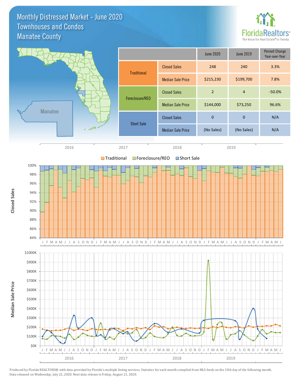Monthly Distressed Market - June 2020 Manatee County Townhouses and Condos